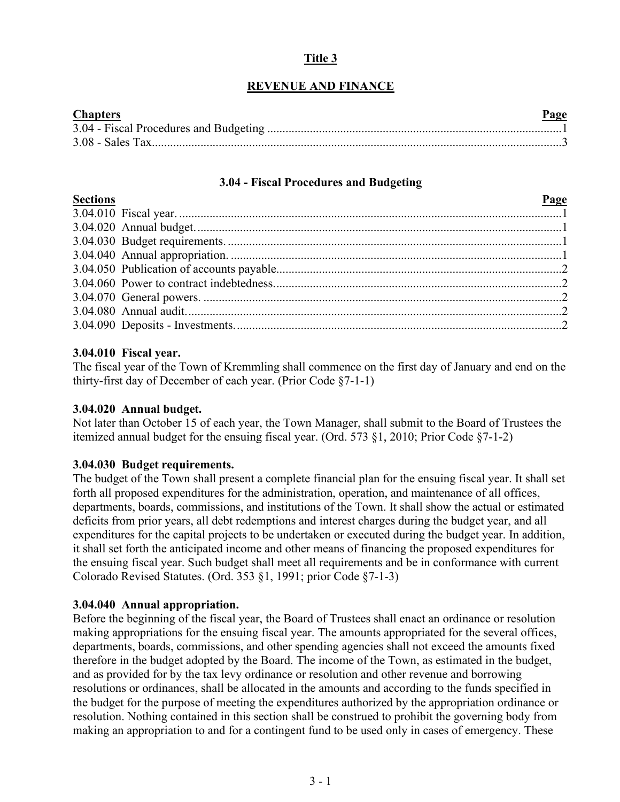# **Title 3**

# **REVENUE AND FINANCE**

| <b>Chapters</b> | Page |
|-----------------|------|
|                 |      |
|                 |      |

### **3.04 - Fiscal Procedures and Budgeting**

<span id="page-0-0"></span>

| <b>Sections</b> | <b>Page</b> |
|-----------------|-------------|
|                 |             |
|                 |             |
|                 |             |
|                 |             |
|                 |             |
|                 |             |
|                 |             |
|                 |             |
|                 |             |

### **3.04.010 Fiscal year.**

The fiscal year of the Town of Kremmling shall commence on the first day of January and end on the thirty-first day of December of each year. (Prior Code §7-1-1)

### **3.04.020 Annual budget.**

Not later than October 15 of each year, the Town Manager, shall submit to the Board of Trustees the itemized annual budget for the ensuing fiscal year. (Ord. 573 §1, 2010; Prior Code §7-1-2)

# **3.04.030 Budget requirements.**

The budget of the Town shall present a complete financial plan for the ensuing fiscal year. It shall set forth all proposed expenditures for the administration, operation, and maintenance of all offices, departments, boards, commissions, and institutions of the Town. It shall show the actual or estimated deficits from prior years, all debt redemptions and interest charges during the budget year, and all expenditures for the capital projects to be undertaken or executed during the budget year. In addition, it shall set forth the anticipated income and other means of financing the proposed expenditures for the ensuing fiscal year. Such budget shall meet all requirements and be in conformance with current Colorado Revised Statutes. (Ord. 353 §1, 1991; prior Code §7-1-3)

### **3.04.040 Annual appropriation.**

Before the beginning of the fiscal year, the Board of Trustees shall enact an ordinance or resolution making appropriations for the ensuing fiscal year. The amounts appropriated for the several offices, departments, boards, commissions, and other spending agencies shall not exceed the amounts fixed therefore in the budget adopted by the Board. The income of the Town, as estimated in the budget, and as provided for by the tax levy ordinance or resolution and other revenue and borrowing resolutions or ordinances, shall be allocated in the amounts and according to the funds specified in the budget for the purpose of meeting the expenditures authorized by the appropriation ordinance or resolution. Nothing contained in this section shall be construed to prohibit the governing body from making an appropriation to and for a contingent fund to be used only in cases of emergency. These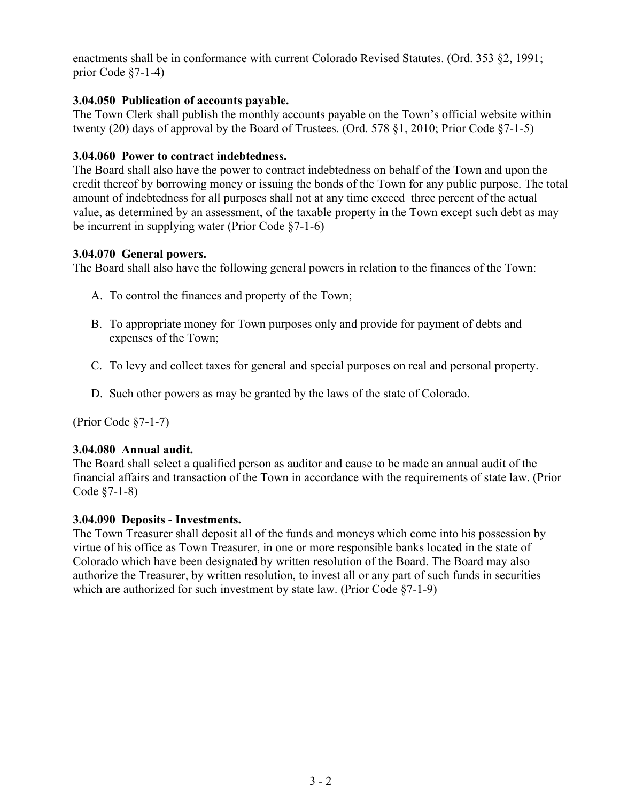enactments shall be in conformance with current Colorado Revised Statutes. (Ord. 353 §2, 1991; prior Code §7-1-4)

### **3.04.050 Publication of accounts payable.**

The Town Clerk shall publish the monthly accounts payable on the Town's official website within twenty (20) days of approval by the Board of Trustees. (Ord. 578 §1, 2010; Prior Code §7-1-5)

### **3.04.060 Power to contract indebtedness.**

The Board shall also have the power to contract indebtedness on behalf of the Town and upon the credit thereof by borrowing money or issuing the bonds of the Town for any public purpose. The total amount of indebtedness for all purposes shall not at any time exceed three percent of the actual value, as determined by an assessment, of the taxable property in the Town except such debt as may be incurrent in supplying water (Prior Code §7-1-6)

### **3.04.070 General powers.**

The Board shall also have the following general powers in relation to the finances of the Town:

- A. To control the finances and property of the Town;
- B. To appropriate money for Town purposes only and provide for payment of debts and expenses of the Town;
- C. To levy and collect taxes for general and special purposes on real and personal property.
- D. Such other powers as may be granted by the laws of the state of Colorado.

(Prior Code §7-1-7)

### **3.04.080 Annual audit.**

The Board shall select a qualified person as auditor and cause to be made an annual audit of the financial affairs and transaction of the Town in accordance with the requirements of state law. (Prior Code §7-1-8)

### **3.04.090 Deposits - Investments.**

The Town Treasurer shall deposit all of the funds and moneys which come into his possession by virtue of his office as Town Treasurer, in one or more responsible banks located in the state of Colorado which have been designated by written resolution of the Board. The Board may also authorize the Treasurer, by written resolution, to invest all or any part of such funds in securities which are authorized for such investment by state law. (Prior Code §7-1-9)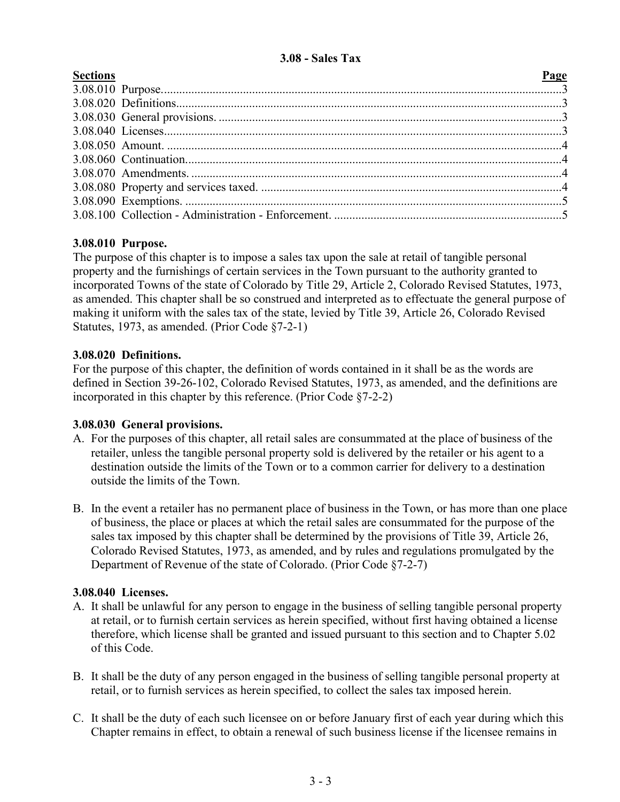# **3.08 - Sales Tax**

<span id="page-2-0"></span>

| <b>Sections</b> | Page |
|-----------------|------|
|                 |      |
|                 |      |
|                 |      |
|                 |      |
|                 |      |
|                 |      |
|                 |      |
|                 |      |
|                 |      |
|                 |      |

# **3.08.010 Purpose.**

The purpose of this chapter is to impose a sales tax upon the sale at retail of tangible personal property and the furnishings of certain services in the Town pursuant to the authority granted to incorporated Towns of the state of Colorado by Title 29, Article 2, Colorado Revised Statutes, 1973, as amended. This chapter shall be so construed and interpreted as to effectuate the general purpose of making it uniform with the sales tax of the state, levied by Title 39, Article 26, Colorado Revised Statutes, 1973, as amended. (Prior Code §7-2-1)

# **3.08.020 Definitions.**

For the purpose of this chapter, the definition of words contained in it shall be as the words are defined in Section 39-26-102, Colorado Revised Statutes, 1973, as amended, and the definitions are incorporated in this chapter by this reference. (Prior Code §7-2-2)

# **3.08.030 General provisions.**

- A. For the purposes of this chapter, all retail sales are consummated at the place of business of the retailer, unless the tangible personal property sold is delivered by the retailer or his agent to a destination outside the limits of the Town or to a common carrier for delivery to a destination outside the limits of the Town.
- B. In the event a retailer has no permanent place of business in the Town, or has more than one place of business, the place or places at which the retail sales are consummated for the purpose of the sales tax imposed by this chapter shall be determined by the provisions of Title 39, Article 26, Colorado Revised Statutes, 1973, as amended, and by rules and regulations promulgated by the Department of Revenue of the state of Colorado. (Prior Code §7-2-7)

# **3.08.040 Licenses.**

- A. It shall be unlawful for any person to engage in the business of selling tangible personal property at retail, or to furnish certain services as herein specified, without first having obtained a license therefore, which license shall be granted and issued pursuant to this section and to Chapter 5.02 of this Code.
- B. It shall be the duty of any person engaged in the business of selling tangible personal property at retail, or to furnish services as herein specified, to collect the sales tax imposed herein.
- C. It shall be the duty of each such licensee on or before January first of each year during which this Chapter remains in effect, to obtain a renewal of such business license if the licensee remains in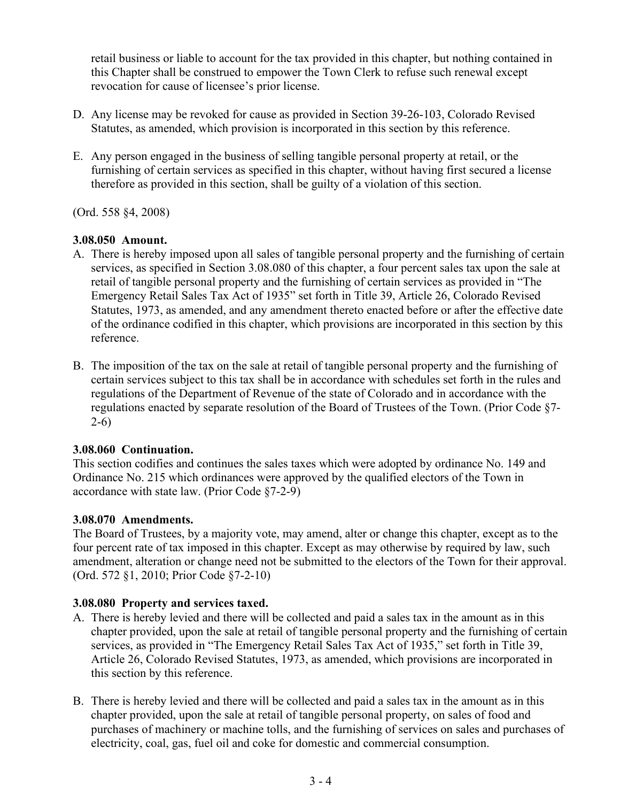retail business or liable to account for the tax provided in this chapter, but nothing contained in this Chapter shall be construed to empower the Town Clerk to refuse such renewal except revocation for cause of licensee's prior license.

- D. Any license may be revoked for cause as provided in Section 39-26-103, Colorado Revised Statutes, as amended, which provision is incorporated in this section by this reference.
- E. Any person engaged in the business of selling tangible personal property at retail, or the furnishing of certain services as specified in this chapter, without having first secured a license therefore as provided in this section, shall be guilty of a violation of this section.

(Ord. 558 §4, 2008)

# **3.08.050 Amount.**

- A. There is hereby imposed upon all sales of tangible personal property and the furnishing of certain services, as specified in Section 3.08.080 of this chapter, a four percent sales tax upon the sale at retail of tangible personal property and the furnishing of certain services as provided in "The Emergency Retail Sales Tax Act of 1935" set forth in Title 39, Article 26, Colorado Revised Statutes, 1973, as amended, and any amendment thereto enacted before or after the effective date of the ordinance codified in this chapter, which provisions are incorporated in this section by this reference.
- B. The imposition of the tax on the sale at retail of tangible personal property and the furnishing of certain services subject to this tax shall be in accordance with schedules set forth in the rules and regulations of the Department of Revenue of the state of Colorado and in accordance with the regulations enacted by separate resolution of the Board of Trustees of the Town. (Prior Code §7- 2-6)

# **3.08.060 Continuation.**

This section codifies and continues the sales taxes which were adopted by ordinance No. 149 and Ordinance No. 215 which ordinances were approved by the qualified electors of the Town in accordance with state law. (Prior Code §7-2-9)

# **3.08.070 Amendments.**

The Board of Trustees, by a majority vote, may amend, alter or change this chapter, except as to the four percent rate of tax imposed in this chapter. Except as may otherwise by required by law, such amendment, alteration or change need not be submitted to the electors of the Town for their approval. (Ord. 572 §1, 2010; Prior Code §7-2-10)

# **3.08.080 Property and services taxed.**

- A. There is hereby levied and there will be collected and paid a sales tax in the amount as in this chapter provided, upon the sale at retail of tangible personal property and the furnishing of certain services, as provided in "The Emergency Retail Sales Tax Act of 1935," set forth in Title 39, Article 26, Colorado Revised Statutes, 1973, as amended, which provisions are incorporated in this section by this reference.
- B. There is hereby levied and there will be collected and paid a sales tax in the amount as in this chapter provided, upon the sale at retail of tangible personal property, on sales of food and purchases of machinery or machine tolls, and the furnishing of services on sales and purchases of electricity, coal, gas, fuel oil and coke for domestic and commercial consumption.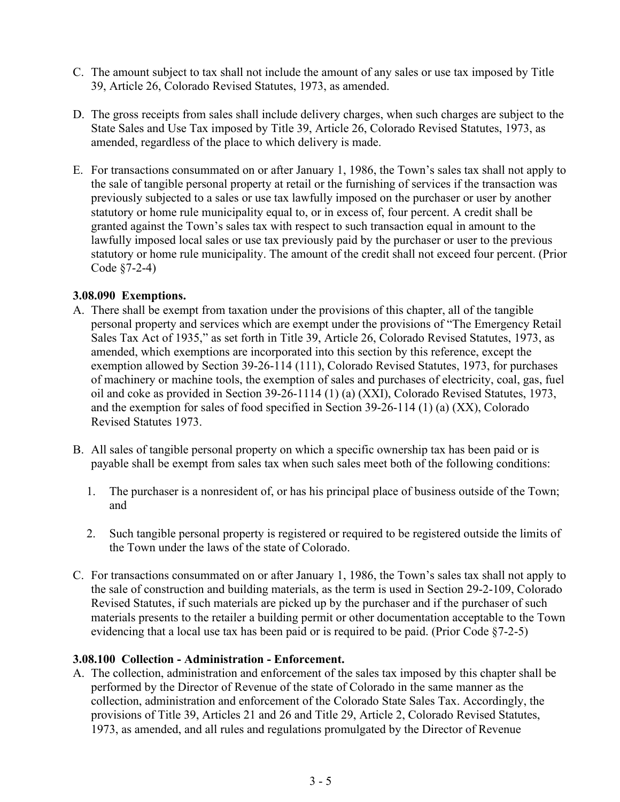- C. The amount subject to tax shall not include the amount of any sales or use tax imposed by Title 39, Article 26, Colorado Revised Statutes, 1973, as amended.
- D. The gross receipts from sales shall include delivery charges, when such charges are subject to the State Sales and Use Tax imposed by Title 39, Article 26, Colorado Revised Statutes, 1973, as amended, regardless of the place to which delivery is made.
- E. For transactions consummated on or after January 1, 1986, the Town's sales tax shall not apply to the sale of tangible personal property at retail or the furnishing of services if the transaction was previously subjected to a sales or use tax lawfully imposed on the purchaser or user by another statutory or home rule municipality equal to, or in excess of, four percent. A credit shall be granted against the Town's sales tax with respect to such transaction equal in amount to the lawfully imposed local sales or use tax previously paid by the purchaser or user to the previous statutory or home rule municipality. The amount of the credit shall not exceed four percent. (Prior Code §7-2-4)

# **3.08.090 Exemptions.**

- A. There shall be exempt from taxation under the provisions of this chapter, all of the tangible personal property and services which are exempt under the provisions of "The Emergency Retail Sales Tax Act of 1935," as set forth in Title 39, Article 26, Colorado Revised Statutes, 1973, as amended, which exemptions are incorporated into this section by this reference, except the exemption allowed by Section 39-26-114 (111), Colorado Revised Statutes, 1973, for purchases of machinery or machine tools, the exemption of sales and purchases of electricity, coal, gas, fuel oil and coke as provided in Section 39-26-1114 (1) (a) (XXI), Colorado Revised Statutes, 1973, and the exemption for sales of food specified in Section 39-26-114 (1) (a) (XX), Colorado Revised Statutes 1973.
- B. All sales of tangible personal property on which a specific ownership tax has been paid or is payable shall be exempt from sales tax when such sales meet both of the following conditions:
	- 1. The purchaser is a nonresident of, or has his principal place of business outside of the Town; and
	- 2. Such tangible personal property is registered or required to be registered outside the limits of the Town under the laws of the state of Colorado.
- C. For transactions consummated on or after January 1, 1986, the Town's sales tax shall not apply to the sale of construction and building materials, as the term is used in Section 29-2-109, Colorado Revised Statutes, if such materials are picked up by the purchaser and if the purchaser of such materials presents to the retailer a building permit or other documentation acceptable to the Town evidencing that a local use tax has been paid or is required to be paid. (Prior Code §7-2-5)

# **3.08.100 Collection - Administration - Enforcement.**

A. The collection, administration and enforcement of the sales tax imposed by this chapter shall be performed by the Director of Revenue of the state of Colorado in the same manner as the collection, administration and enforcement of the Colorado State Sales Tax. Accordingly, the provisions of Title 39, Articles 21 and 26 and Title 29, Article 2, Colorado Revised Statutes, 1973, as amended, and all rules and regulations promulgated by the Director of Revenue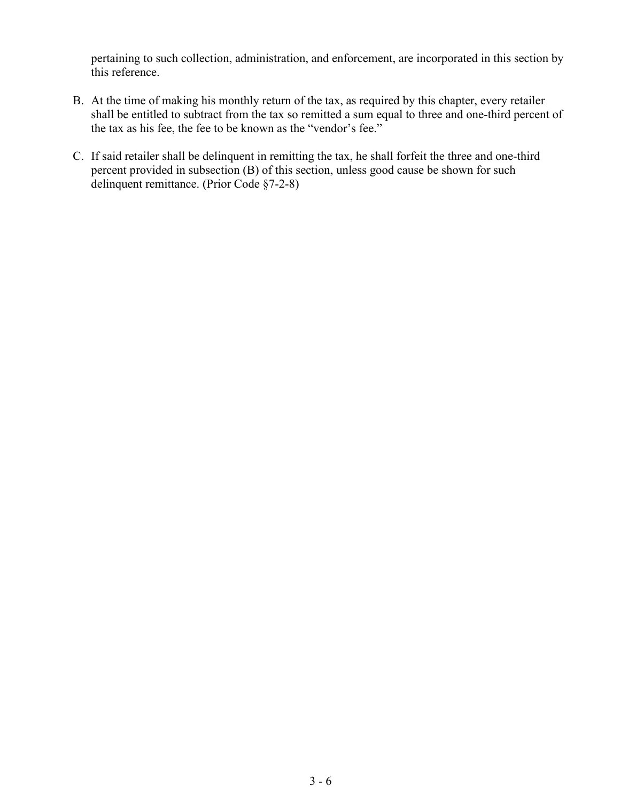pertaining to such collection, administration, and enforcement, are incorporated in this section by this reference.

- B. At the time of making his monthly return of the tax, as required by this chapter, every retailer shall be entitled to subtract from the tax so remitted a sum equal to three and one-third percent of the tax as his fee, the fee to be known as the "vendor's fee."
- C. If said retailer shall be delinquent in remitting the tax, he shall forfeit the three and one-third percent provided in subsection (B) of this section, unless good cause be shown for such delinquent remittance. (Prior Code §7-2-8)